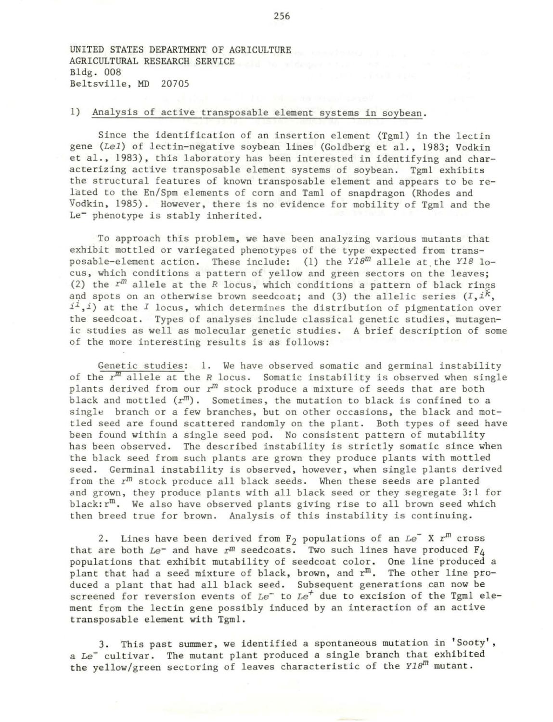UNITED STATES DEPARTMENT OF AGRICULTURE AGRICULTURAL RESEARCH SERVICE Bldg . 008 Beltsville, MD 20705

## 1) Analysis of active transposable element systems in soybean.

Since the identification of an insertion element (Tgml) in the lectin gene *(Lel)* of lectin-negative soybean lines (Goldberg et al., 1983; Vodkin et al., 1983), this laboratory has been interested in identifying and characterizing active transposable element systems of soybean. Tgml exhibits the structural features of known transposable element and appears to be related to the En/Spm elements of corn and Taml of snapdragon (Rhodes and Vodkin, 1985). However, there is no evidence for mobility of Tgml and the Le<sup>-</sup> phenotype is stably inherited.

To approach this problem, we have been analyzing various mutants that exhiblt mottled or variegated phenotypes of the type expected from transposable-element action. These include: (1) the *YlBm* allele at. the *YlB* lo*cus,* which conditions a pattern of yellow and green sectors on the leaves; (2) the  $r^m$  allele at the  $R$  locus, which conditions a pattern of black rings and spots on an otherwise brown seedcoat; and (3) the allelic series  $(I, i<sup>k</sup>, j<sup>k</sup>)$ *ii,i)* at the *I* locus, which determines the distribution of pigmentation over the seedcoat. Types of analyses include classical genetic studies, mutagenic studies as well as molecular genetic studies. A brief description of some of the more interesting results is as follows:

Genetic studies: 1. We have observed somatic and germinal instability of the *z:m* allele at the *R* locus. Somatic instability is observed when single plants derived from our  $r^m$  stock produce a mixture of seeds that are both black and mottled  $(r^{m})$ . Sometimes, the mutation to black is confined to a single branch or a few branches, but on other occasions, the black and mottled seed are found scattered randomly on the plant. Both types of seed have been found within a single seed pod. No consistent pattern of mutability has been observed. The described instability is strictly somatic since when the black seed from such plants are grown they produce plants with mottled seed. Germinal instability is observed, however, when single plants derived from the  $r^{m}$  stock produce all black seeds. When these seeds are planted and grown, they produce plants with all black seed or they segregate 3:1 for black: $r^m$ . We also have observed plants giving rise to all brown seed which then breed true for brown. Analysis of this instability is continuing.

2. Lines have been derived from  $F_2$  populations of an  $Le^- X r^m$  cross that are both  $Le^-$  and have  $r^m$  seedcoats. Two such lines have produced  $F_A$ populations that exhibit mutability of seedcoat color. One line produced a plant that had a seed mixture of black, brown, and r<sup>m</sup>. The other line produced a plant that had all black seed. Subsequent generations can now be screened for reversion events of *Le*<sup>+</sup> to *Le<sup>+</sup>* due to excision of the Tgml element from the lectin gene possibly induced by an interaction of an active transposable element with Tgml.

3. This past sunnner, we identified a spontaneous mutation in 'Sooty', a Le<sup>-</sup> cultivar. The mutant plant produced a single branch that exhibited the yellow/green sectoring of leaves characteristic of the *Y18<sup>m</sup>* mutant.